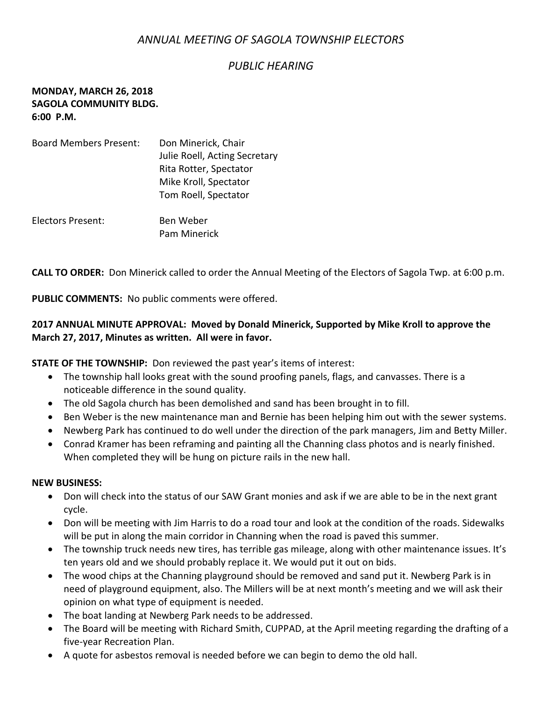# *ANNUAL MEETING OF SAGOLA TOWNSHIP ELECTORS*

# *PUBLIC HEARING*

### **MONDAY, MARCH 26, 2018 SAGOLA COMMUNITY BLDG. 6:00 P.M.**

| <b>Board Members Present:</b> | Don Minerick, Chair           |
|-------------------------------|-------------------------------|
|                               | Julie Roell, Acting Secretary |
|                               | Rita Rotter, Spectator        |
|                               | Mike Kroll, Spectator         |
|                               | Tom Roell, Spectator          |
| Electors Present:             | Ben Weber                     |
|                               | <b>Pam Minerick</b>           |

**CALL TO ORDER:** Don Minerick called to order the Annual Meeting of the Electors of Sagola Twp. at 6:00 p.m.

**PUBLIC COMMENTS:** No public comments were offered.

## **2017 ANNUAL MINUTE APPROVAL: Moved by Donald Minerick, Supported by Mike Kroll to approve the March 27, 2017, Minutes as written. All were in favor.**

**STATE OF THE TOWNSHIP:** Don reviewed the past year's items of interest:

- The township hall looks great with the sound proofing panels, flags, and canvasses. There is a noticeable difference in the sound quality.
- The old Sagola church has been demolished and sand has been brought in to fill.
- Ben Weber is the new maintenance man and Bernie has been helping him out with the sewer systems.
- Newberg Park has continued to do well under the direction of the park managers, Jim and Betty Miller.
- Conrad Kramer has been reframing and painting all the Channing class photos and is nearly finished. When completed they will be hung on picture rails in the new hall.

#### **NEW BUSINESS:**

- Don will check into the status of our SAW Grant monies and ask if we are able to be in the next grant cycle.
- Don will be meeting with Jim Harris to do a road tour and look at the condition of the roads. Sidewalks will be put in along the main corridor in Channing when the road is paved this summer.
- The township truck needs new tires, has terrible gas mileage, along with other maintenance issues. It's ten years old and we should probably replace it. We would put it out on bids.
- The wood chips at the Channing playground should be removed and sand put it. Newberg Park is in need of playground equipment, also. The Millers will be at next month's meeting and we will ask their opinion on what type of equipment is needed.
- The boat landing at Newberg Park needs to be addressed.
- The Board will be meeting with Richard Smith, CUPPAD, at the April meeting regarding the drafting of a five-year Recreation Plan.
- A quote for asbestos removal is needed before we can begin to demo the old hall.